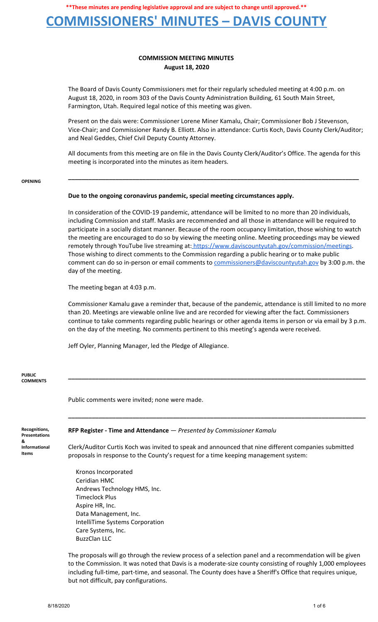## **COMMISSIONERS' MINUTES – DAVIS COUNTY**

### **COMMISSION MEETING MINUTES August 18, 2020**

The Board of Davis County Commissioners met for their regularly scheduled meeting at 4:00 p.m. on August 18, 2020, in room 303 of the Davis County Administration Building, 61 South Main Street, Farmington, Utah. Required legal notice of this meeting was given.

Present on the dais were: Commissioner Lorene Miner Kamalu, Chair; Commissioner Bob J Stevenson, Vice-Chair; and Commissioner Randy B. Elliott. Also in attendance: Curtis Koch, Davis County Clerk/Auditor; and Neal Geddes, Chief Civil Deputy County Attorney.

All documents from this meeting are on file in the Davis County Clerk/Auditor's Office. The agenda for this meeting is incorporated into the minutes as item headers.

**\_\_\_\_\_\_\_\_\_\_\_\_\_\_\_\_\_\_\_\_\_\_\_\_\_\_\_\_\_\_\_\_\_\_\_\_\_\_\_\_\_\_\_\_\_\_\_\_\_\_\_\_\_\_\_\_\_\_\_\_\_\_\_\_\_\_\_\_\_\_\_\_\_\_\_\_\_\_\_\_\_\_\_\_\_\_**

#### **OPENING**

### **Due to the ongoing coronavirus pandemic, special meeting circumstances apply.**

In consideration of the COVID-19 pandemic, attendance will be limited to no more than 20 individuals, including Commission and staff. Masks are recommended and all those in attendance will be required to participate in a socially distant manner. Because of the room occupancy limitation, those wishing to watch the meeting are encouraged to do so by viewing the meeting online. Meeting proceedings may be viewed remotely through YouTube live streaming at: [https://www.daviscountyutah.gov/commission/meetings.](https://www.daviscountyutah.gov/commission/meetings) Those wishing to direct comments to the Commission regarding a public hearing or to make public comment can do so in-person or email comments to [commissioners@daviscountyutah.gov](mailto:commissioners@daviscountyutah.gov) by 3:00 p.m. the day of the meeting.

The meeting began at 4:03 p.m.

Commissioner Kamalu gave a reminder that, because of the pandemic, attendance is still limited to no more than 20. Meetings are viewable online live and are recorded for viewing after the fact. Commissioners continue to take comments regarding public hearings or other agenda items in person or via email by 3 p.m. on the day of the meeting. No comments pertinent to this meeting's agenda were received.

**\_\_\_\_\_\_\_\_\_\_\_\_\_\_\_\_\_\_\_\_\_\_\_\_\_\_\_\_\_\_\_\_\_\_\_\_\_\_\_\_\_\_\_\_\_\_\_\_\_\_\_\_\_\_\_\_\_\_\_\_\_\_\_\_\_\_\_\_\_\_\_\_\_\_\_\_\_\_\_\_\_\_\_\_\_\_\_\_**

**\_\_\_\_\_\_\_\_\_\_\_\_\_\_\_\_\_\_\_\_\_\_\_\_\_\_\_\_\_\_\_\_\_\_\_\_\_\_\_\_\_\_\_\_\_\_\_\_\_\_\_\_\_\_\_\_\_\_\_\_\_\_\_\_\_\_\_\_\_\_\_\_\_\_\_\_\_\_\_\_\_\_\_\_\_\_\_\_**

Jeff Oyler, Planning Manager, led the Pledge of Allegiance.

#### **PUBLIC COMMENTS**

Public comments were invited; none were made.

#### **Recognitions, Presentations & Informational Items**

**RFP Register - Time and Attendance** — *Presented by Commissioner Kamalu*

Clerk/Auditor Curtis Koch was invited to speak and announced that nine different companies submitted proposals in response to the County's request for a time keeping management system:

Kronos Incorporated Ceridian HMC Andrews Technology HMS, Inc. Timeclock Plus Aspire HR, Inc. Data Management, Inc. IntelliTime Systems Corporation Care Systems, Inc. BuzzClan LLC

The proposals will go through the review process of a selection panel and a recommendation will be given to the Commission. It was noted that Davis is a moderate-size county consisting of roughly 1,000 employees including full-time, part-time, and seasonal. The County does have a Sheriff's Office that requires unique, but not difficult, pay configurations.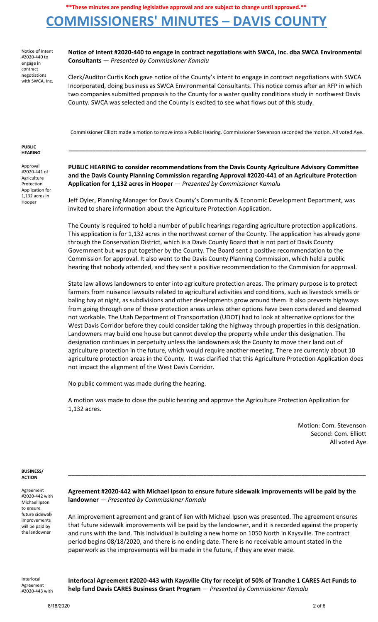## **COMMISSIONERS' MINUTES – DAVIS COUNTY**

Notice of Intent #2020-440 to engage in contract negotiations with SWCA, Inc.

**Notice of Intent #2020-440 to engage in contract negotiations with SWCA, Inc. dba SWCA Environmental Consultants** — *Presented by Commissioner Kamalu*

Clerk/Auditor Curtis Koch gave notice of the County's intent to engage in contract negotiations with SWCA Incorporated, doing business as SWCA Environmental Consultants. This notice comes after an RFP in which two companies submitted proposals to the County for a water quality conditions study in northwest Davis County. SWCA was selected and the County is excited to see what flows out of this study.

Commissioner Elliott made a motion to move into a Public Hearing. Commissioner Stevenson seconded the motion. All voted Aye.

**\_\_\_\_\_\_\_\_\_\_\_\_\_\_\_\_\_\_\_\_\_\_\_\_\_\_\_\_\_\_\_\_\_\_\_\_\_\_\_\_\_\_\_\_\_\_\_\_\_\_\_\_\_\_\_\_\_\_\_\_\_\_\_\_\_\_\_\_\_\_\_\_\_\_\_\_\_\_\_\_\_\_\_\_\_\_\_\_**

#### **PUBLIC HEARING**

Approval #2020-441 of Agriculture Protection Application for 1,132 acres in Hooper

**PUBLIC HEARING to consider recommendations from the Davis County Agriculture Advisory Committee and the Davis County Planning Commission regarding Approval #2020-441 of an Agriculture Protection Application for 1,132 acres in Hooper** *— Presented by Commissioner Kamalu*

Jeff Oyler, Planning Manager for Davis County's Community & Economic Development Department, was invited to share information about the Agriculture Protection Application.

The County is required to hold a number of public hearings regarding agriculture protection applications. This application is for 1,132 acres in the northwest corner of the County. The application has already gone through the Conservation District, which is a Davis County Board that is not part of Davis County Government but was put together by the County. The Board sent a positive recommendation to the Commission for approval. It also went to the Davis County Planning Commission, which held a public hearing that nobody attended, and they sent a positive recommendation to the Commision for approval.

State law allows landowners to enter into agriculture protection areas. The primary purpose is to protect farmers from nuisance lawsuits related to agricultural activities and conditions, such as livestock smells or baling hay at night, as subdivisions and other developments grow around them. It also prevents highways from going through one of these protection areas unless other options have been considered and deemed not workable. The Utah Department of Transportation (UDOT) had to look at alternative options for the West Davis Corridor before they could consider taking the highway through properties in this designation. Landowners may build one house but cannot develop the property while under this designation. The designation continues in perpetuity unless the landowners ask the County to move their land out of agriculture protection in the future, which would require another meeting. There are currently about 10 agriculture protection areas in the County. It was clarified that this Agriculture Protection Application does not impact the alignment of the West Davis Corridor.

No public comment was made during the hearing.

A motion was made to close the public hearing and approve the Agriculture Protection Application for 1,132 acres.

> Motion: Com. Stevenson Second: Com. Elliott All voted Aye

#### **BUSINESS/ ACTION**

Agreement #2020-442 with Michael Ipson to ensure future sidewalk improvements will be paid by the landowner

**Agreement #2020-442 with Michael Ipson to ensure future sidewalk improvements will be paid by the landowner** — *Presented by Commissioner Kamalu*

**\_\_\_\_\_\_\_\_\_\_\_\_\_\_\_\_\_\_\_\_\_\_\_\_\_\_\_\_\_\_\_\_\_\_\_\_\_\_\_\_\_\_\_\_\_\_\_\_\_\_\_\_\_\_\_\_\_\_\_\_\_\_\_\_\_\_\_\_\_\_\_\_\_\_\_\_\_\_\_\_\_\_\_\_\_\_\_\_**

An improvement agreement and grant of lien with Michael Ipson was presented. The agreement ensures that future sidewalk improvements will be paid by the landowner, and it is recorded against the property and runs with the land. This individual is building a new home on 1050 North in Kaysville. The contract period begins 08/18/2020, and there is no ending date. There is no receivable amount stated in the paperwork as the improvements will be made in the future, if they are ever made.

Interlocal Agreement #2020-443 with **Interlocal Agreement #2020-443 with Kaysville City for receipt of 50% of Tranche 1 CARES Act Funds to help fund Davis CARES Business Grant Program** — *Presented by Commissioner Kamalu*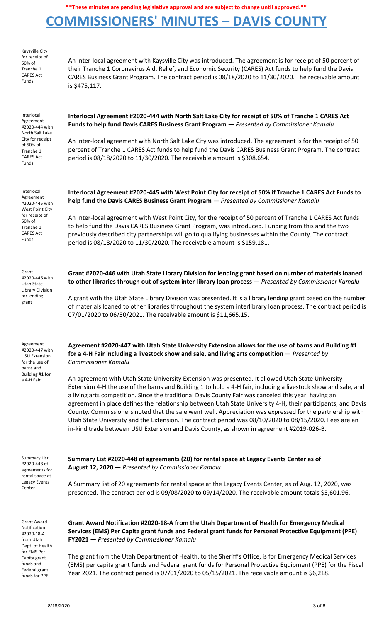# **COMMISSIONERS' MINUTES – DAVIS COUNTY**

| Kaysville City<br>for receipt of<br>50% of<br>Tranche 1<br><b>CARES Act</b><br>Funds                                                                           | An inter-local agreement with Kaysville City was introduced. The agreement is for receipt of 50 percent of<br>their Tranche 1 Coronavirus Aid, Relief, and Economic Security (CARES) Act funds to help fund the Davis<br>CARES Business Grant Program. The contract period is 08/18/2020 to 11/30/2020. The receivable amount<br>is \$475,117.                                                                                                                                                                                                                                                                                                                                                                                                                                                                                                                                                                                                                                                          |
|----------------------------------------------------------------------------------------------------------------------------------------------------------------|---------------------------------------------------------------------------------------------------------------------------------------------------------------------------------------------------------------------------------------------------------------------------------------------------------------------------------------------------------------------------------------------------------------------------------------------------------------------------------------------------------------------------------------------------------------------------------------------------------------------------------------------------------------------------------------------------------------------------------------------------------------------------------------------------------------------------------------------------------------------------------------------------------------------------------------------------------------------------------------------------------|
| Interlocal<br>Agreement<br>#2020-444 with<br>North Salt Lake<br>City for receipt<br>of 50% of<br>Tranche 1<br><b>CARES Act</b><br>Funds                        | Interlocal Agreement #2020-444 with North Salt Lake City for receipt of 50% of Tranche 1 CARES Act<br>Funds to help fund Davis CARES Business Grant Program - Presented by Commissioner Kamalu<br>An inter-local agreement with North Salt Lake City was introduced. The agreement is for the receipt of 50<br>percent of Tranche 1 CARES Act funds to help fund the Davis CARES Business Grant Program. The contract<br>period is 08/18/2020 to 11/30/2020. The receivable amount is \$308,654.                                                                                                                                                                                                                                                                                                                                                                                                                                                                                                        |
| Interlocal<br>Agreement<br>#2020-445 with<br>West Point City<br>for receipt of<br>50% of<br>Tranche 1<br><b>CARES Act</b><br>Funds                             | Interlocal Agreement #2020-445 with West Point City for receipt of 50% if Tranche 1 CARES Act Funds to<br>help fund the Davis CARES Business Grant Program - Presented by Commissioner Kamalu<br>An Inter-local agreement with West Point City, for the receipt of 50 percent of Tranche 1 CARES Act funds<br>to help fund the Davis CARES Business Grant Program, was introduced. Funding from this and the two<br>previously described city partnerships will go to qualifying businesses within the County. The contract<br>period is 08/18/2020 to 11/30/2020. The receivable amount is \$159,181.                                                                                                                                                                                                                                                                                                                                                                                                  |
| Grant<br>#2020-446 with<br>Utah State<br><b>Library Division</b><br>for lending<br>grant                                                                       | Grant #2020-446 with Utah State Library Division for lending grant based on number of materials loaned<br>to other libraries through out of system inter-library loan process - Presented by Commissioner Kamalu<br>A grant with the Utah State Library Division was presented. It is a library lending grant based on the number<br>of materials loaned to other libraries throughout the system interlibrary loan process. The contract period is<br>07/01/2020 to 06/30/2021. The receivable amount is \$11,665.15.                                                                                                                                                                                                                                                                                                                                                                                                                                                                                  |
| Agreement<br>#2020-447 with<br><b>USU Extension</b><br>for the use of<br>barns and<br>Building #1 for<br>a 4-H Fair                                            | Agreement #2020-447 with Utah State University Extension allows for the use of barns and Building #1<br>for a 4-H Fair including a livestock show and sale, and living arts competition $-$ Presented by<br><b>Commissioner Kamalu</b><br>An agreement with Utah State University Extension was presented. It allowed Utah State University<br>Extension 4-H the use of the barns and Building 1 to hold a 4-H fair, including a livestock show and sale, and<br>a living arts competition. Since the traditional Davis County Fair was canceled this year, having an<br>agreement in place defines the relationship between Utah State University 4-H, their participants, and Davis<br>County. Commissioners noted that the sale went well. Appreciation was expressed for the partnership with<br>Utah State University and the Extension. The contract period was 08/10/2020 to 08/15/2020. Fees are an<br>in-kind trade between USU Extension and Davis County, as shown in agreement #2019-026-B. |
| <b>Summary List</b><br>#2020-448 of<br>agreements for<br>rental space at<br>Legacy Events<br>Center                                                            | Summary List #2020-448 of agreements (20) for rental space at Legacy Events Center as of<br>August 12, 2020 - Presented by Commissioner Kamalu<br>A Summary list of 20 agreements for rental space at the Legacy Events Center, as of Aug. 12, 2020, was<br>presented. The contract period is 09/08/2020 to 09/14/2020. The receivable amount totals \$3,601.96.                                                                                                                                                                                                                                                                                                                                                                                                                                                                                                                                                                                                                                        |
| <b>Grant Award</b><br>Notification<br>#2020-18-A<br>from Utah<br>Dept. of Health<br>for EMS Per<br>Capita grant<br>funds and<br>Federal grant<br>funds for PPE | Grant Award Notification #2020-18-A from the Utah Department of Health for Emergency Medical<br>Services (EMS) Per Capita grant funds and Federal grant funds for Personal Protective Equipment (PPE)<br>FY2021 - Presented by Commissioner Kamalu<br>The grant from the Utah Department of Health, to the Sheriff's Office, is for Emergency Medical Services<br>(EMS) per capita grant funds and Federal grant funds for Personal Protective Equipment (PPE) for the Fiscal<br>Year 2021. The contract period is 07/01/2020 to 05/15/2021. The receivable amount is \$6,218.                                                                                                                                                                                                                                                                                                                                                                                                                          |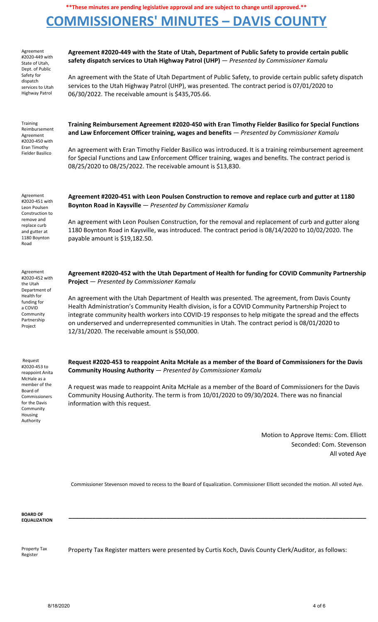# **COMMISSIONERS' MINUTES – DAVIS COUNTY**

| Agreement<br>#2020-449 with<br>State of Utah,<br>Dept. of Public<br>Safety for<br>dispatch<br>services to Utah<br>Highway Patrol        | Agreement #2020-449 with the State of Utah, Department of Public Safety to provide certain public<br>safety dispatch services to Utah Highway Patrol (UHP) - Presented by Commissioner Kamalu<br>An agreement with the State of Utah Department of Public Safety, to provide certain public safety dispatch<br>services to the Utah Highway Patrol (UHP), was presented. The contract period is 07/01/2020 to<br>06/30/2022. The receivable amount is \$435,705.66.                                                                                                                                                           |
|-----------------------------------------------------------------------------------------------------------------------------------------|-------------------------------------------------------------------------------------------------------------------------------------------------------------------------------------------------------------------------------------------------------------------------------------------------------------------------------------------------------------------------------------------------------------------------------------------------------------------------------------------------------------------------------------------------------------------------------------------------------------------------------|
| <b>Training</b><br>Reimbursement<br>Agreement<br>#2020-450 with<br>Eran Timothy<br>Fielder Basilico                                     | Training Reimbursement Agreement #2020-450 with Eran Timothy Fielder Basilico for Special Functions<br>and Law Enforcement Officer training, wages and benefits - Presented by Commissioner Kamalu<br>An agreement with Eran Timothy Fielder Basilico was introduced. It is a training reimbursement agreement<br>for Special Functions and Law Enforcement Officer training, wages and benefits. The contract period is<br>08/25/2020 to 08/25/2022. The receivable amount is \$13,830.                                                                                                                                      |
| Agreement<br>#2020-451 with<br>Leon Poulsen<br>Construction to<br>remove and<br>replace curb<br>and gutter at<br>1180 Boynton<br>Road   | Agreement #2020-451 with Leon Poulsen Construction to remove and replace curb and gutter at 1180<br>Boynton Road in Kaysville - Presented by Commissioner Kamalu<br>An agreement with Leon Poulsen Construction, for the removal and replacement of curb and gutter along<br>1180 Boynton Road in Kaysville, was introduced. The contract period is 08/14/2020 to 10/02/2020. The<br>payable amount is \$19,182.50.                                                                                                                                                                                                           |
| Agreement<br>#2020-452 with<br>the Utah<br>Department of<br>Health for<br>funding for<br>a COVID<br>Community<br>Partnership<br>Project | Agreement #2020-452 with the Utah Department of Health for funding for COVID Community Partnership<br><b>Project</b> - Presented by Commissioner Kamalu<br>An agreement with the Utah Department of Health was presented. The agreement, from Davis County<br>Health Administration's Community Health division, is for a COVID Community Partnership Project to<br>integrate community health workers into COVID-19 responses to help mitigate the spread and the effects<br>on underserved and underrepresented communities in Utah. The contract period is 08/01/2020 to<br>12/31/2020. The receivable amount is \$50,000. |
| Request                                                                                                                                 | Request #2020-453 to reappoint Anita McHale as a member of the Board of Commissioners for the Davis                                                                                                                                                                                                                                                                                                                                                                                                                                                                                                                           |

#2020-453 to reappoint Anita McHale as a member of the Board of Commissioners for the Davis Community Housing Authority

**Request #2020-453 to reappoint Anita McHale as a member of the Board of Commissioners for the Davis Community Housing Authority** — *Presented by Commissioner Kamalu*

A request was made to reappoint Anita McHale as a member of the Board of Commissioners for the Davis Community Housing Authority. The term is from 10/01/2020 to 09/30/2024. There was no financial information with this request.

> Motion to Approve Items: Com. Elliott Seconded: Com. Stevenson All voted Aye

Commissioner Stevenson moved to recess to the Board of Equalization. Commissioner Elliott seconded the motion. All voted Aye.

**\_\_\_\_\_\_\_\_\_\_\_\_\_\_\_\_\_\_\_\_\_\_\_\_\_\_\_\_\_\_\_\_\_\_\_\_\_\_\_\_\_\_\_\_\_\_\_\_\_\_\_\_\_\_\_\_\_\_\_\_\_\_\_\_\_\_\_\_\_\_\_\_\_\_\_\_\_\_\_\_\_\_\_\_\_\_\_\_**

**BOARD OF EQUALIZATION**

Property Tax Register

Property Tax Register matters were presented by Curtis Koch, Davis County Clerk/Auditor, as follows: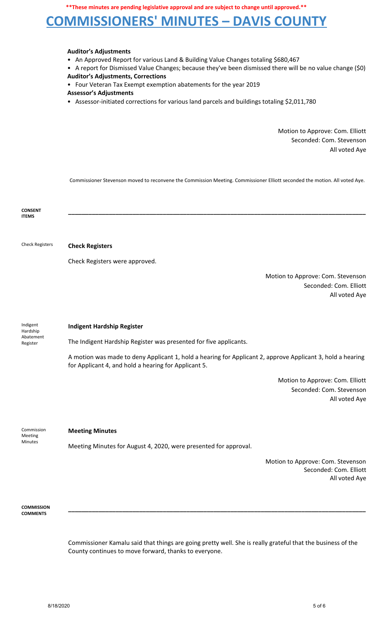## **COMMISSIONERS' MINUTES – DAVIS COUNTY**

### **Auditor's Adjustments**

- An Approved Report for various Land & Building Value Changes totaling \$680,467
- A report for Dismissed Value Changes; because they've been dismissed there will be no value change (\$0)

**Auditor's Adjustments, Corrections**

• Four Veteran Tax Exempt exemption abatements for the year 2019

### **Assessor's Adjustments**

• Assessor-initiated corrections for various land parcels and buildings totaling \$2,011,780

Motion to Approve: Com. Elliott Seconded: Com. Stevenson All voted Aye

Commissioner Stevenson moved to reconvene the Commission Meeting. Commissioner Elliott seconded the motion. All voted Aye.

| <b>CONSENT</b><br><b>ITEMS</b>                |                                                                                                                                                                    |
|-----------------------------------------------|--------------------------------------------------------------------------------------------------------------------------------------------------------------------|
|                                               |                                                                                                                                                                    |
| <b>Check Registers</b>                        | <b>Check Registers</b>                                                                                                                                             |
|                                               | Check Registers were approved.                                                                                                                                     |
|                                               | Motion to Approve: Com. Stevenson<br>Seconded: Com. Elliott<br>All voted Aye                                                                                       |
| Indigent<br>Hardship<br>Abatement<br>Register | <b>Indigent Hardship Register</b>                                                                                                                                  |
|                                               | The Indigent Hardship Register was presented for five applicants.                                                                                                  |
|                                               | A motion was made to deny Applicant 1, hold a hearing for Applicant 2, approve Applicant 3, hold a hearing<br>for Applicant 4, and hold a hearing for Applicant 5. |
|                                               | Motion to Approve: Com. Elliott<br>Seconded: Com. Stevenson<br>All voted Aye                                                                                       |
| Commission<br>Meeting<br><b>Minutes</b>       | <b>Meeting Minutes</b>                                                                                                                                             |
|                                               | Meeting Minutes for August 4, 2020, were presented for approval.                                                                                                   |
|                                               | Motion to Approve: Com. Stevenson<br>Seconded: Com. Elliott<br>All voted Aye                                                                                       |

**COMMISSION COMMENTS**

> Commissioner Kamalu said that things are going pretty well. She is really grateful that the business of the County continues to move forward, thanks to everyone.

**\_\_\_\_\_\_\_\_\_\_\_\_\_\_\_\_\_\_\_\_\_\_\_\_\_\_\_\_\_\_\_\_\_\_\_\_\_\_\_\_\_\_\_\_\_\_\_\_\_\_\_\_\_\_\_\_\_\_\_\_\_\_\_\_\_\_\_\_\_\_\_\_\_\_\_\_\_\_\_\_\_\_\_\_\_\_\_\_**